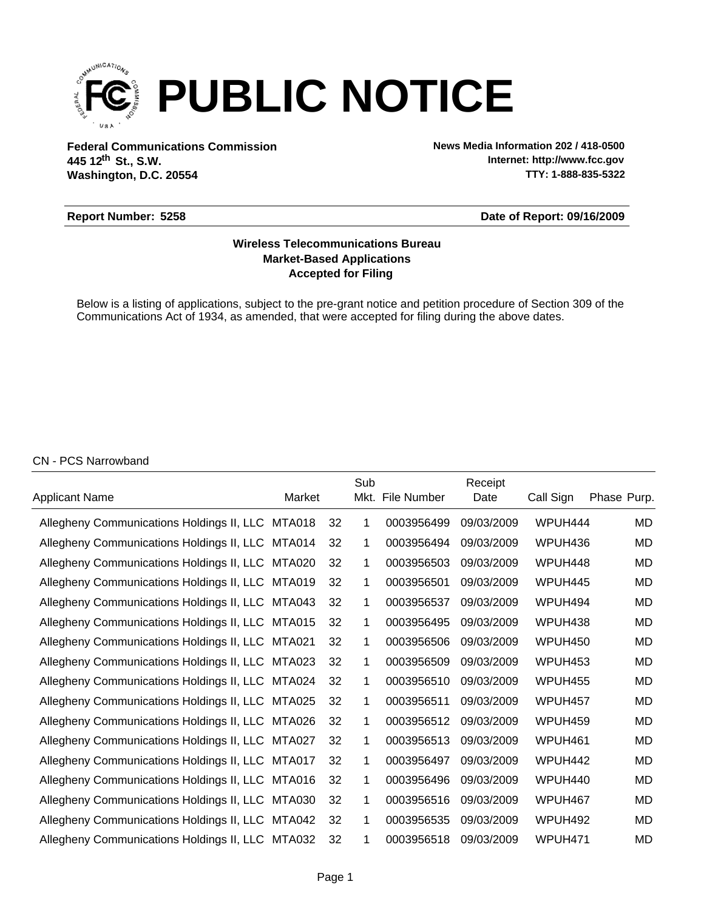

**Federal Communications Commission News Media Information 202 / 418-0500 Washington, D.C. 20554 th 445 12 St., S.W.**

**Internet: http://www.fcc.gov TTY: 1-888-835-5322**

#### **Report Number: 5258**

#### **Date of Report: 09/16/2009**

# **Accepted for Filing Market-Based Applications Wireless Telecommunications Bureau**

Below is a listing of applications, subject to the pre-grant notice and petition procedure of Section 309 of the Communications Act of 1934, as amended, that were accepted for filing during the above dates.

### CN - PCS Narrowband

|                                                  |        |    | Sub  |             | Receipt    |           |             |
|--------------------------------------------------|--------|----|------|-------------|------------|-----------|-------------|
| Applicant Name                                   | Market |    | Mkt. | File Number | Date       | Call Sign | Phase Purp. |
| Allegheny Communications Holdings II, LLC MTA018 |        | 32 | 1    | 0003956499  | 09/03/2009 | WPUH444   | MD          |
| Allegheny Communications Holdings II, LLC MTA014 |        | 32 | 1    | 0003956494  | 09/03/2009 | WPUH436   | MD          |
| Allegheny Communications Holdings II, LLC MTA020 |        | 32 | 1    | 0003956503  | 09/03/2009 | WPUH448   | MD          |
| Allegheny Communications Holdings II, LLC MTA019 |        | 32 | 1    | 0003956501  | 09/03/2009 | WPUH445   | MD          |
| Allegheny Communications Holdings II, LLC MTA043 |        | 32 | 1    | 0003956537  | 09/03/2009 | WPUH494   | <b>MD</b>   |
| Allegheny Communications Holdings II, LLC MTA015 |        | 32 | 1    | 0003956495  | 09/03/2009 | WPUH438   | <b>MD</b>   |
| Allegheny Communications Holdings II, LLC MTA021 |        | 32 | 1    | 0003956506  | 09/03/2009 | WPUH450   | MD          |
| Allegheny Communications Holdings II, LLC MTA023 |        | 32 | 1    | 0003956509  | 09/03/2009 | WPUH453   | MD          |
| Allegheny Communications Holdings II, LLC MTA024 |        | 32 | 1    | 0003956510  | 09/03/2009 | WPUH455   | MD          |
| Allegheny Communications Holdings II, LLC MTA025 |        | 32 | 1    | 0003956511  | 09/03/2009 | WPUH457   | <b>MD</b>   |
| Allegheny Communications Holdings II, LLC MTA026 |        | 32 | 1    | 0003956512  | 09/03/2009 | WPUH459   | MD          |
| Allegheny Communications Holdings II, LLC MTA027 |        | 32 | 1    | 0003956513  | 09/03/2009 | WPUH461   | MD          |
| Allegheny Communications Holdings II, LLC MTA017 |        | 32 | 1    | 0003956497  | 09/03/2009 | WPUH442   | MD          |
| Allegheny Communications Holdings II, LLC        | MTA016 | 32 | 1    | 0003956496  | 09/03/2009 | WPUH440   | MD          |
| Allegheny Communications Holdings II, LLC        | MTA030 | 32 | 1    | 0003956516  | 09/03/2009 | WPUH467   | MD          |
| Allegheny Communications Holdings II, LLC        | MTA042 | 32 | 1    | 0003956535  | 09/03/2009 | WPUH492   | MD          |
| Allegheny Communications Holdings II, LLC MTA032 |        | 32 |      | 0003956518  | 09/03/2009 | WPUH471   | MD          |
|                                                  |        |    |      |             |            |           |             |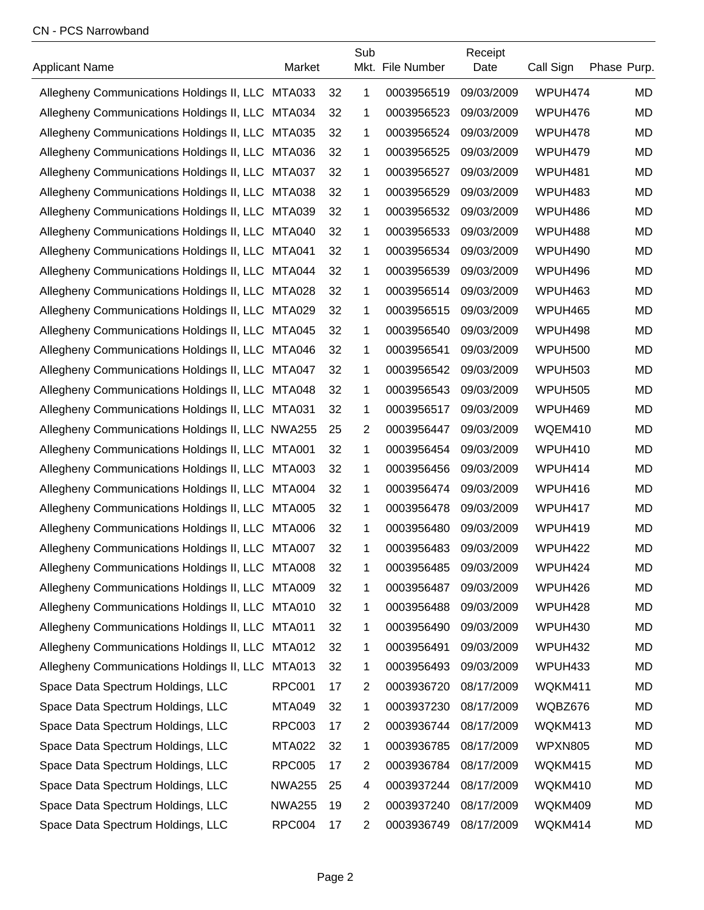## CN - PCS Narrowband

| <b>Applicant Name</b>                            | Market        |    | Sub            | Mkt. File Number | Receipt<br>Date | Call Sign      | Phase Purp. |
|--------------------------------------------------|---------------|----|----------------|------------------|-----------------|----------------|-------------|
| Allegheny Communications Holdings II, LLC MTA033 |               | 32 | 1              | 0003956519       | 09/03/2009      | WPUH474        | <b>MD</b>   |
| Allegheny Communications Holdings II, LLC MTA034 |               | 32 | 1              | 0003956523       | 09/03/2009      | WPUH476        | MD          |
| Allegheny Communications Holdings II, LLC MTA035 |               | 32 | 1              | 0003956524       | 09/03/2009      | WPUH478        | <b>MD</b>   |
| Allegheny Communications Holdings II, LLC MTA036 |               | 32 | 1              | 0003956525       | 09/03/2009      | WPUH479        | MD          |
| Allegheny Communications Holdings II, LLC MTA037 |               | 32 | 1              | 0003956527       | 09/03/2009      | WPUH481        | <b>MD</b>   |
| Allegheny Communications Holdings II, LLC MTA038 |               | 32 | 1              | 0003956529       | 09/03/2009      | WPUH483        | MD          |
| Allegheny Communications Holdings II, LLC MTA039 |               | 32 | 1              | 0003956532       | 09/03/2009      | WPUH486        | MD          |
| Allegheny Communications Holdings II, LLC MTA040 |               | 32 | 1              | 0003956533       | 09/03/2009      | WPUH488        | MD          |
| Allegheny Communications Holdings II, LLC MTA041 |               | 32 | 1              | 0003956534       | 09/03/2009      | WPUH490        | MD          |
| Allegheny Communications Holdings II, LLC MTA044 |               | 32 | 1              | 0003956539       | 09/03/2009      | WPUH496        | MD          |
| Allegheny Communications Holdings II, LLC MTA028 |               | 32 | 1              | 0003956514       | 09/03/2009      | WPUH463        | MD          |
| Allegheny Communications Holdings II, LLC MTA029 |               | 32 | 1              | 0003956515       | 09/03/2009      | WPUH465        | MD          |
| Allegheny Communications Holdings II, LLC MTA045 |               | 32 | 1              | 0003956540       | 09/03/2009      | WPUH498        | <b>MD</b>   |
| Allegheny Communications Holdings II, LLC MTA046 |               | 32 | 1              | 0003956541       | 09/03/2009      | <b>WPUH500</b> | MD          |
| Allegheny Communications Holdings II, LLC MTA047 |               | 32 | 1              | 0003956542       | 09/03/2009      | <b>WPUH503</b> | MD          |
| Allegheny Communications Holdings II, LLC MTA048 |               | 32 | 1              | 0003956543       | 09/03/2009      | <b>WPUH505</b> | MD          |
| Allegheny Communications Holdings II, LLC MTA031 |               | 32 | 1              | 0003956517       | 09/03/2009      | WPUH469        | <b>MD</b>   |
| Allegheny Communications Holdings II, LLC NWA255 |               | 25 | $\overline{2}$ | 0003956447       | 09/03/2009      | WQEM410        | MD          |
| Allegheny Communications Holdings II, LLC MTA001 |               | 32 | 1              | 0003956454       | 09/03/2009      | WPUH410        | MD          |
| Allegheny Communications Holdings II, LLC MTA003 |               | 32 | 1              | 0003956456       | 09/03/2009      | WPUH414        | MD          |
| Allegheny Communications Holdings II, LLC        | MTA004        | 32 | 1              | 0003956474       | 09/03/2009      | WPUH416        | <b>MD</b>   |
| Allegheny Communications Holdings II, LLC        | MTA005        | 32 | 1              | 0003956478       | 09/03/2009      | WPUH417        | MD          |
| Allegheny Communications Holdings II, LLC MTA006 |               | 32 | 1              | 0003956480       | 09/03/2009      | WPUH419        | MD          |
| Allegheny Communications Holdings II, LLC MTA007 |               | 32 | 1              | 0003956483       | 09/03/2009      | WPUH422        | <b>MD</b>   |
| Allegheny Communications Holdings II, LLC MTA008 |               | 32 | 1              | 0003956485       | 09/03/2009      | WPUH424        | MD          |
| Allegheny Communications Holdings II, LLC MTA009 |               | 32 | 1              | 0003956487       | 09/03/2009      | WPUH426        | MD          |
| Allegheny Communications Holdings II, LLC MTA010 |               | 32 | 1              | 0003956488       | 09/03/2009      | WPUH428        | MD          |
| Allegheny Communications Holdings II, LLC        | <b>MTA011</b> | 32 | 1              | 0003956490       | 09/03/2009      | WPUH430        | <b>MD</b>   |
| Allegheny Communications Holdings II, LLC        | <b>MTA012</b> | 32 | 1              | 0003956491       | 09/03/2009      | WPUH432        | <b>MD</b>   |
| Allegheny Communications Holdings II, LLC        | <b>MTA013</b> | 32 | 1              | 0003956493       | 09/03/2009      | WPUH433        | MD          |
| Space Data Spectrum Holdings, LLC                | <b>RPC001</b> | 17 | $\overline{2}$ | 0003936720       | 08/17/2009      | WQKM411        | MD          |
| Space Data Spectrum Holdings, LLC                | <b>MTA049</b> | 32 | 1              | 0003937230       | 08/17/2009      | WQBZ676        | <b>MD</b>   |
| Space Data Spectrum Holdings, LLC                | <b>RPC003</b> | 17 | $\overline{2}$ | 0003936744       | 08/17/2009      | WQKM413        | MD          |
| Space Data Spectrum Holdings, LLC                | <b>MTA022</b> | 32 | 1              | 0003936785       | 08/17/2009      | <b>WPXN805</b> | MD          |
| Space Data Spectrum Holdings, LLC                | <b>RPC005</b> | 17 | $\overline{2}$ | 0003936784       | 08/17/2009      | WQKM415        | MD          |
| Space Data Spectrum Holdings, LLC                | <b>NWA255</b> | 25 | 4              | 0003937244       | 08/17/2009      | WQKM410        | MD          |
| Space Data Spectrum Holdings, LLC                | <b>NWA255</b> | 19 | $\overline{2}$ | 0003937240       | 08/17/2009      | WQKM409        | MD          |
| Space Data Spectrum Holdings, LLC                | <b>RPC004</b> | 17 | 2              | 0003936749       | 08/17/2009      | WQKM414        | MD          |